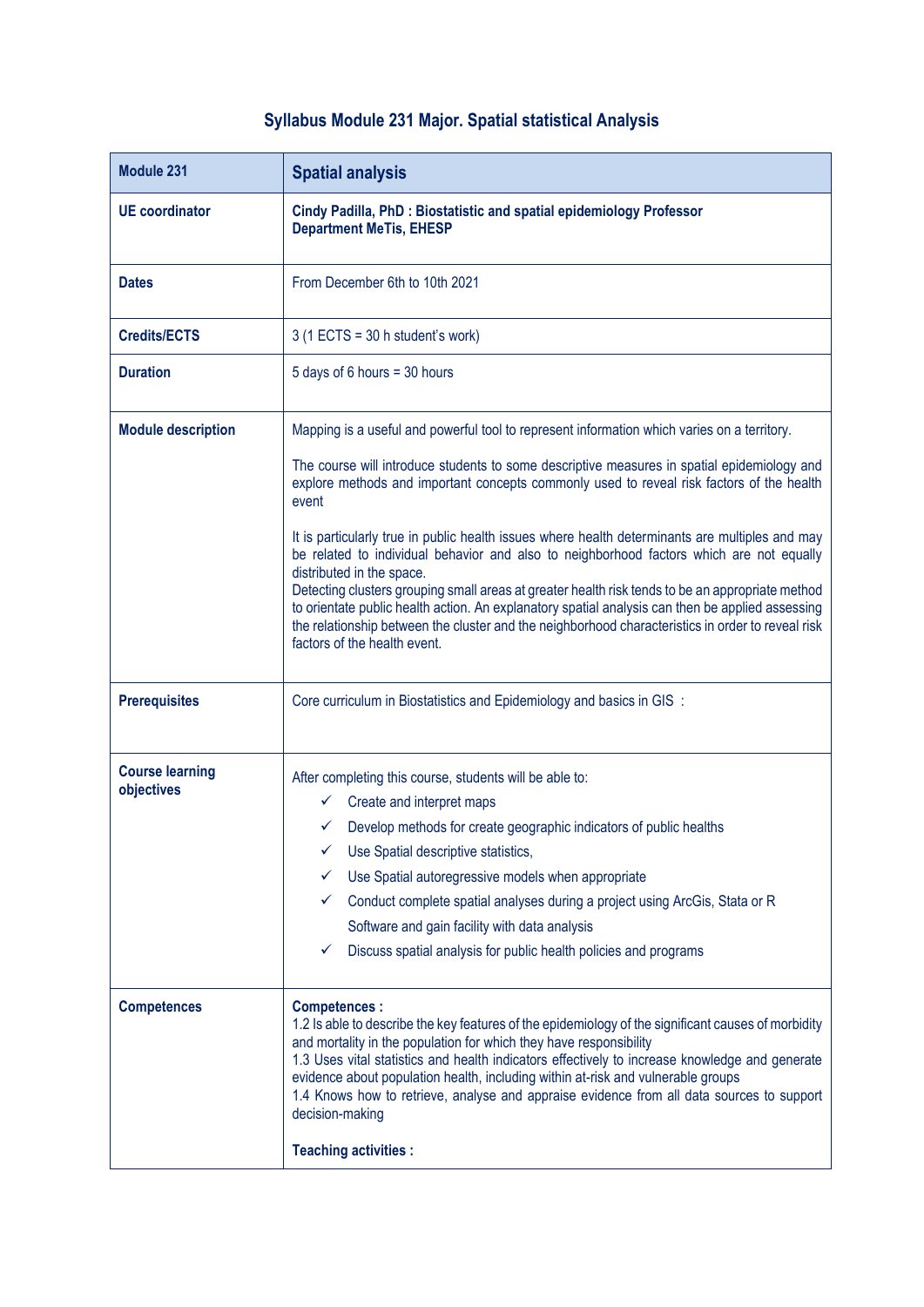## **Syllabus Module 231 Major. Spatial statistical Analysis**

| <b>Module 231</b>                    | <b>Spatial analysis</b>                                                                                                                                                                                                                                                                                                                                                                                                                                                                                                                                                                                                                                                                                                                                                                                                                                                   |
|--------------------------------------|---------------------------------------------------------------------------------------------------------------------------------------------------------------------------------------------------------------------------------------------------------------------------------------------------------------------------------------------------------------------------------------------------------------------------------------------------------------------------------------------------------------------------------------------------------------------------------------------------------------------------------------------------------------------------------------------------------------------------------------------------------------------------------------------------------------------------------------------------------------------------|
| <b>UE</b> coordinator                | Cindy Padilla, PhD: Biostatistic and spatial epidemiology Professor<br><b>Department MeTis, EHESP</b>                                                                                                                                                                                                                                                                                                                                                                                                                                                                                                                                                                                                                                                                                                                                                                     |
| <b>Dates</b>                         | From December 6th to 10th 2021                                                                                                                                                                                                                                                                                                                                                                                                                                                                                                                                                                                                                                                                                                                                                                                                                                            |
| <b>Credits/ECTS</b>                  | $3(1$ ECTS = 30 h student's work)                                                                                                                                                                                                                                                                                                                                                                                                                                                                                                                                                                                                                                                                                                                                                                                                                                         |
| <b>Duration</b>                      | 5 days of 6 hours = 30 hours                                                                                                                                                                                                                                                                                                                                                                                                                                                                                                                                                                                                                                                                                                                                                                                                                                              |
| <b>Module description</b>            | Mapping is a useful and powerful tool to represent information which varies on a territory.<br>The course will introduce students to some descriptive measures in spatial epidemiology and<br>explore methods and important concepts commonly used to reveal risk factors of the health<br>event<br>It is particularly true in public health issues where health determinants are multiples and may<br>be related to individual behavior and also to neighborhood factors which are not equally<br>distributed in the space.<br>Detecting clusters grouping small areas at greater health risk tends to be an appropriate method<br>to orientate public health action. An explanatory spatial analysis can then be applied assessing<br>the relationship between the cluster and the neighborhood characteristics in order to reveal risk<br>factors of the health event. |
| <b>Prerequisites</b>                 | Core curriculum in Biostatistics and Epidemiology and basics in GIS :                                                                                                                                                                                                                                                                                                                                                                                                                                                                                                                                                                                                                                                                                                                                                                                                     |
| <b>Course learning</b><br>objectives | After completing this course, students will be able to:<br>Create and interpret maps<br>✓<br>Develop methods for create geographic indicators of public healths<br>Use Spatial descriptive statistics,<br>Use Spatial autoregressive models when appropriate<br>Conduct complete spatial analyses during a project using ArcGis, Stata or R<br>✓<br>Software and gain facility with data analysis<br>✓<br>Discuss spatial analysis for public health policies and programs                                                                                                                                                                                                                                                                                                                                                                                                |
| <b>Competences</b>                   | <b>Competences:</b><br>1.2 Is able to describe the key features of the epidemiology of the significant causes of morbidity<br>and mortality in the population for which they have responsibility<br>1.3 Uses vital statistics and health indicators effectively to increase knowledge and generate<br>evidence about population health, including within at-risk and vulnerable groups<br>1.4 Knows how to retrieve, analyse and appraise evidence from all data sources to support<br>decision-making<br><b>Teaching activities:</b>                                                                                                                                                                                                                                                                                                                                     |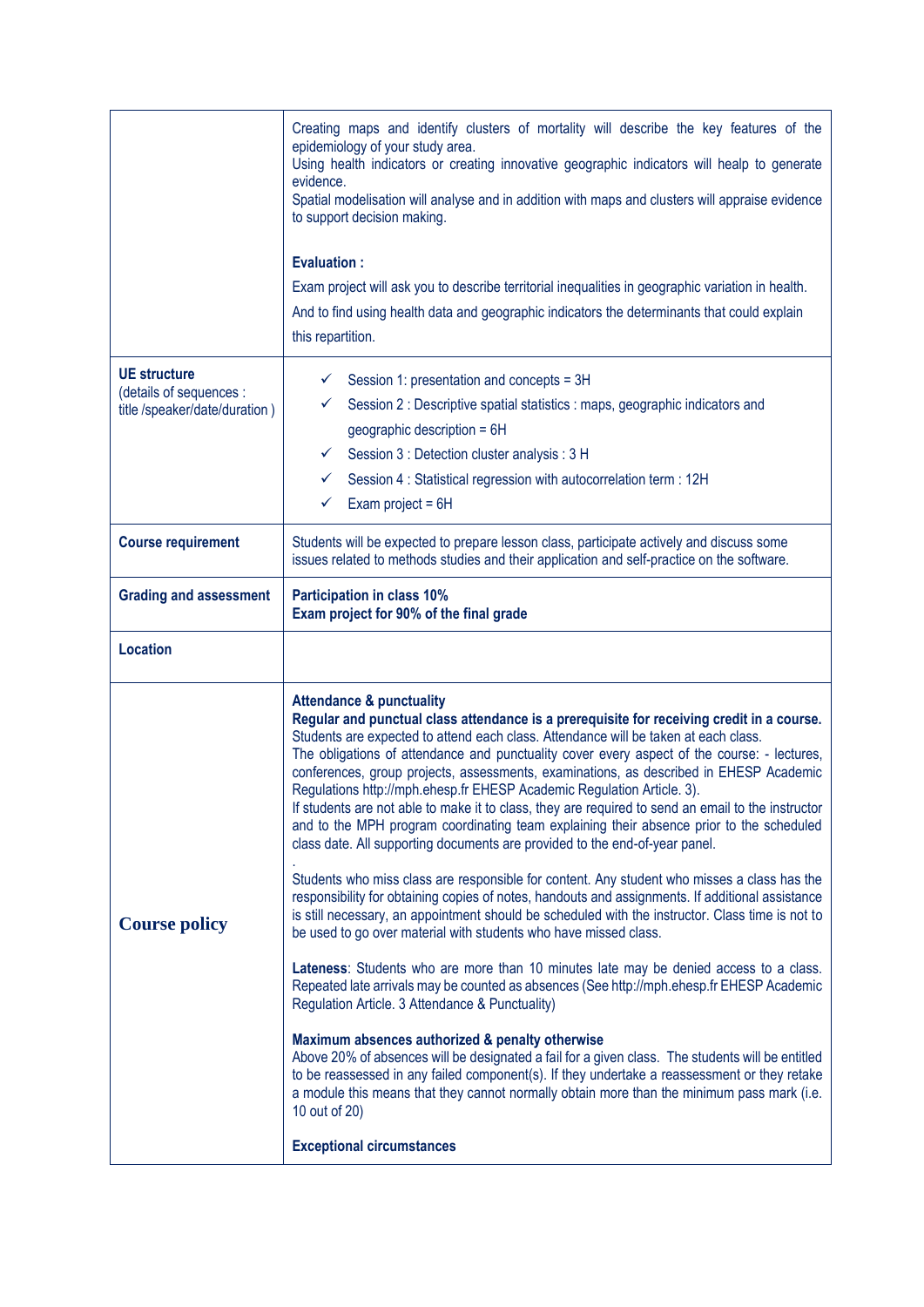|                                                                                 | Creating maps and identify clusters of mortality will describe the key features of the<br>epidemiology of your study area.<br>Using health indicators or creating innovative geographic indicators will healp to generate<br>evidence.<br>Spatial modelisation will analyse and in addition with maps and clusters will appraise evidence<br>to support decision making.<br><b>Evaluation:</b><br>Exam project will ask you to describe territorial inequalities in geographic variation in health.<br>And to find using health data and geographic indicators the determinants that could explain<br>this repartition.                                                                                                                                                                                                                                                                                                                                                                                                                                                                                                                                                                                                                                                                                                                                                                                                                                                                                                                                                                                                                                                                                                                                                                                   |
|---------------------------------------------------------------------------------|-----------------------------------------------------------------------------------------------------------------------------------------------------------------------------------------------------------------------------------------------------------------------------------------------------------------------------------------------------------------------------------------------------------------------------------------------------------------------------------------------------------------------------------------------------------------------------------------------------------------------------------------------------------------------------------------------------------------------------------------------------------------------------------------------------------------------------------------------------------------------------------------------------------------------------------------------------------------------------------------------------------------------------------------------------------------------------------------------------------------------------------------------------------------------------------------------------------------------------------------------------------------------------------------------------------------------------------------------------------------------------------------------------------------------------------------------------------------------------------------------------------------------------------------------------------------------------------------------------------------------------------------------------------------------------------------------------------------------------------------------------------------------------------------------------------|
| <b>UE</b> structure<br>(details of sequences :<br>title /speaker/date/duration) | Session 1: presentation and concepts = 3H<br>✓<br>Session 2 : Descriptive spatial statistics : maps, geographic indicators and<br>✓<br>geographic description = 6H<br>Session 3 : Detection cluster analysis : 3 H<br>✓<br>Session 4 : Statistical regression with autocorrelation term : 12H<br>✓<br>✓<br>Exam project = $6H$                                                                                                                                                                                                                                                                                                                                                                                                                                                                                                                                                                                                                                                                                                                                                                                                                                                                                                                                                                                                                                                                                                                                                                                                                                                                                                                                                                                                                                                                            |
| <b>Course requirement</b>                                                       | Students will be expected to prepare lesson class, participate actively and discuss some<br>issues related to methods studies and their application and self-practice on the software.                                                                                                                                                                                                                                                                                                                                                                                                                                                                                                                                                                                                                                                                                                                                                                                                                                                                                                                                                                                                                                                                                                                                                                                                                                                                                                                                                                                                                                                                                                                                                                                                                    |
| <b>Grading and assessment</b>                                                   | Participation in class 10%<br>Exam project for 90% of the final grade                                                                                                                                                                                                                                                                                                                                                                                                                                                                                                                                                                                                                                                                                                                                                                                                                                                                                                                                                                                                                                                                                                                                                                                                                                                                                                                                                                                                                                                                                                                                                                                                                                                                                                                                     |
| <b>Location</b>                                                                 |                                                                                                                                                                                                                                                                                                                                                                                                                                                                                                                                                                                                                                                                                                                                                                                                                                                                                                                                                                                                                                                                                                                                                                                                                                                                                                                                                                                                                                                                                                                                                                                                                                                                                                                                                                                                           |
| <b>Course policy</b>                                                            | <b>Attendance &amp; punctuality</b><br>Regular and punctual class attendance is a prerequisite for receiving credit in a course.<br>Students are expected to attend each class. Attendance will be taken at each class.<br>The obligations of attendance and punctuality cover every aspect of the course: - lectures,<br>conferences, group projects, assessments, examinations, as described in EHESP Academic<br>Regulations http://mph.ehesp.fr EHESP Academic Regulation Article. 3).<br>If students are not able to make it to class, they are required to send an email to the instructor<br>and to the MPH program coordinating team explaining their absence prior to the scheduled<br>class date. All supporting documents are provided to the end-of-year panel.<br>Students who miss class are responsible for content. Any student who misses a class has the<br>responsibility for obtaining copies of notes, handouts and assignments. If additional assistance<br>is still necessary, an appointment should be scheduled with the instructor. Class time is not to<br>be used to go over material with students who have missed class.<br>Lateness: Students who are more than 10 minutes late may be denied access to a class.<br>Repeated late arrivals may be counted as absences (See http://mph.ehesp.fr EHESP Academic<br>Regulation Article. 3 Attendance & Punctuality)<br>Maximum absences authorized & penalty otherwise<br>Above 20% of absences will be designated a fail for a given class. The students will be entitled<br>to be reassessed in any failed component(s). If they undertake a reassessment or they retake<br>a module this means that they cannot normally obtain more than the minimum pass mark (i.e.<br>10 out of 20)<br><b>Exceptional circumstances</b> |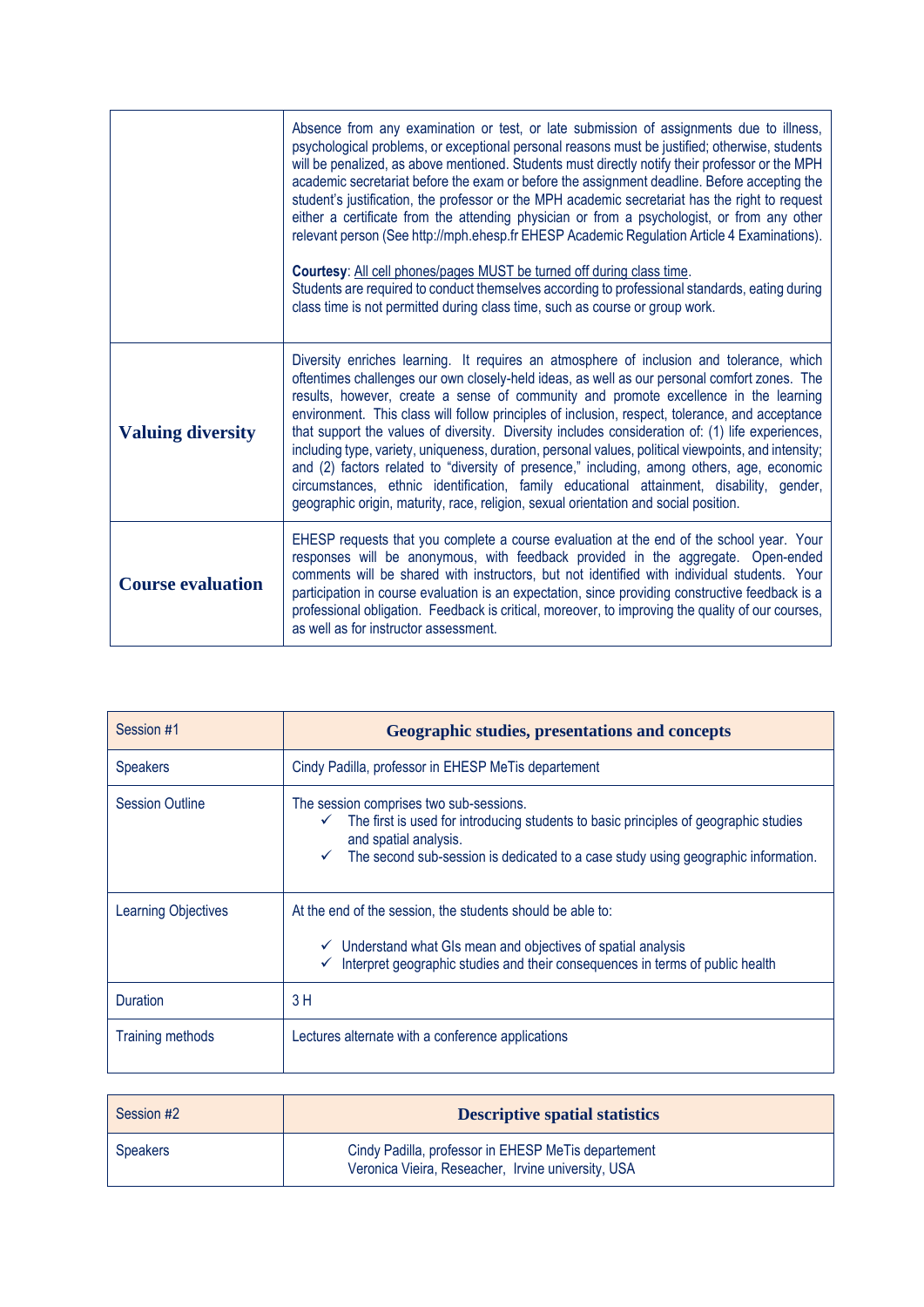|                          | Absence from any examination or test, or late submission of assignments due to illness,<br>psychological problems, or exceptional personal reasons must be justified; otherwise, students<br>will be penalized, as above mentioned. Students must directly notify their professor or the MPH<br>academic secretariat before the exam or before the assignment deadline. Before accepting the<br>student's justification, the professor or the MPH academic secretariat has the right to request<br>either a certificate from the attending physician or from a psychologist, or from any other<br>relevant person (See http://mph.ehesp.fr EHESP Academic Regulation Article 4 Examinations).<br>Courtesy: All cell phones/pages MUST be turned off during class time.<br>Students are required to conduct themselves according to professional standards, eating during<br>class time is not permitted during class time, such as course or group work. |
|--------------------------|----------------------------------------------------------------------------------------------------------------------------------------------------------------------------------------------------------------------------------------------------------------------------------------------------------------------------------------------------------------------------------------------------------------------------------------------------------------------------------------------------------------------------------------------------------------------------------------------------------------------------------------------------------------------------------------------------------------------------------------------------------------------------------------------------------------------------------------------------------------------------------------------------------------------------------------------------------|
| <b>Valuing diversity</b> | Diversity enriches learning. It requires an atmosphere of inclusion and tolerance, which<br>oftentimes challenges our own closely-held ideas, as well as our personal comfort zones. The<br>results, however, create a sense of community and promote excellence in the learning<br>environment. This class will follow principles of inclusion, respect, tolerance, and acceptance<br>that support the values of diversity. Diversity includes consideration of: (1) life experiences,<br>including type, variety, uniqueness, duration, personal values, political viewpoints, and intensity;<br>and (2) factors related to "diversity of presence," including, among others, age, economic<br>circumstances, ethnic identification, family educational attainment, disability, gender,<br>geographic origin, maturity, race, religion, sexual orientation and social position.                                                                        |
| <b>Course evaluation</b> | EHESP requests that you complete a course evaluation at the end of the school year. Your<br>responses will be anonymous, with feedback provided in the aggregate. Open-ended<br>comments will be shared with instructors, but not identified with individual students. Your<br>participation in course evaluation is an expectation, since providing constructive feedback is a<br>professional obligation. Feedback is critical, moreover, to improving the quality of our courses,<br>as well as for instructor assessment.                                                                                                                                                                                                                                                                                                                                                                                                                            |

| Session #1              | <b>Geographic studies, presentations and concepts</b>                                                                                                                                                                                                              |
|-------------------------|--------------------------------------------------------------------------------------------------------------------------------------------------------------------------------------------------------------------------------------------------------------------|
| <b>Speakers</b>         | Cindy Padilla, professor in EHESP MeTis departement                                                                                                                                                                                                                |
| <b>Session Outline</b>  | The session comprises two sub-sessions.<br>The first is used for introducing students to basic principles of geographic studies<br>✓<br>and spatial analysis.<br>The second sub-session is dedicated to a case study using geographic information.<br>$\checkmark$ |
| Learning Objectives     | At the end of the session, the students should be able to:<br>$\checkmark$ Understand what GIs mean and objectives of spatial analysis<br>Interpret geographic studies and their consequences in terms of public health<br>✓                                       |
| Duration                | 3H                                                                                                                                                                                                                                                                 |
| <b>Training methods</b> | Lectures alternate with a conference applications                                                                                                                                                                                                                  |

| Session #2      | <b>Descriptive spatial statistics</b>                                                                     |
|-----------------|-----------------------------------------------------------------------------------------------------------|
| <b>Speakers</b> | Cindy Padilla, professor in EHESP MeTis departement<br>Veronica Vieira, Reseacher, Irvine university, USA |